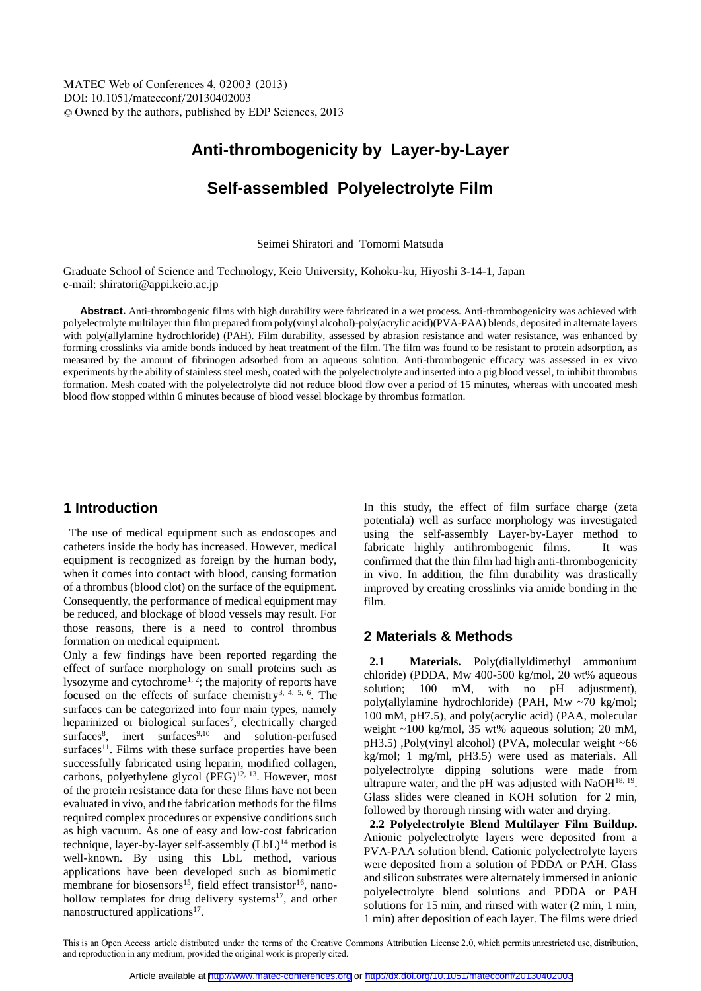# **Anti-thrombogenicity by Layer-by-Layer**

# **Self-assembled Polyelectrolyte Film**

Seimei Shiratori and Tomomi Matsuda

Graduate School of Science and Technology, Keio University, Kohoku-ku, Hiyoshi 3-14-1, Japan e-mail: shiratori@appi.keio.ac.jp

**Abstract.** Anti-thrombogenic films with high durability were fabricated in a wet process. Anti-thrombogenicity was achieved with polyelectrolyte multilayer thin film prepared from poly(vinyl alcohol)-poly(acrylic acid)(PVA-PAA) blends, deposited in alternate layers with poly(allylamine hydrochloride) (PAH). Film durability, assessed by abrasion resistance and water resistance, was enhanced by forming crosslinks via amide bonds induced by heat treatment of the film. The film was found to be resistant to protein adsorption, as measured by the amount of fibrinogen adsorbed from an aqueous solution. Anti-thrombogenic efficacy was assessed in ex vivo experiments by the ability of stainless steel mesh, coated with the polyelectrolyte and inserted into a pig blood vessel, to inhibit thrombus formation. Mesh coated with the polyelectrolyte did not reduce blood flow over a period of 15 minutes, whereas with uncoated mesh blood flow stopped within 6 minutes because of blood vessel blockage by thrombus formation.

## **1 Introduction**

The use of medical equipment such as endoscopes and catheters inside the body has increased. However, medical equipment is recognized as foreign by the human body, when it comes into contact with blood, causing formation of a thrombus (blood clot) on the surface of the equipment. Consequently, the performance of medical equipment may be reduced, and blockage of blood vessels may result. For those reasons, there is a need to control thrombus formation on medical equipment.

Only a few findings have been reported regarding the effect of surface morphology on small proteins such as lysozyme and cytochrome<sup>1, 2</sup>; the majority of reports have focused on the effects of surface chemistry3, 4, 5, 6. The surfaces can be categorized into four main types, namely heparinized or biological surfaces<sup>7</sup>, electrically charged surfaces<sup>8</sup>, inert surfaces<sup>9,10</sup> and solution-perfused surfaces<sup>11</sup>. Films with these surface properties have been successfully fabricated using heparin, modified collagen, carbons, polyethylene glycol  $(PEG)^{12, 13}$ . However, most of the protein resistance data for these films have not been evaluated in vivo, and the fabrication methods for the films required complex procedures or expensive conditions such as high vacuum. As one of easy and low-cost fabrication technique, layer-by-layer self-assembly  $(LbL)^{14}$  method is well-known. By using this LbL method, various applications have been developed such as biomimetic membrane for biosensors<sup>15</sup>, field effect transistor<sup>16</sup>, nanohollow templates for drug delivery systems<sup>17</sup>, and other nanostructured applications<sup>17</sup>.

In this study, the effect of film surface charge (zeta potentiala) well as surface morphology was investigated using the self-assembly Layer-by-Layer method to fabricate highly antihrombogenic films. It was confirmed that the thin film had high anti-thrombogenicity in vivo. In addition, the film durability was drastically improved by creating crosslinks via amide bonding in the film.

### **2 Materials & Methods**

**2.1 Materials.** Poly(diallyldimethyl ammonium chloride) (PDDA, Mw 400-500 kg/mol, 20 wt% aqueous solution; 100 mM, with no pH adjustment), poly(allylamine hydrochloride) (PAH, Mw ~70 kg/mol; 100 mM, pH7.5), and poly(acrylic acid) (PAA, molecular weight ~100 kg/mol, 35 wt% aqueous solution; 20 mM, pH3.5) ,Poly(vinyl alcohol) (PVA, molecular weight ~66 kg/mol; 1 mg/ml, pH3.5) were used as materials. All polyelectrolyte dipping solutions were made from ultrapure water, and the pH was adjusted with  $NaOH<sup>18, 19</sup>$ . Glass slides were cleaned in KOH solution for 2 min, followed by thorough rinsing with water and drying.

**2.2 Polyelectrolyte Blend Multilayer Film Buildup.**  Anionic polyelectrolyte layers were deposited from a PVA-PAA solution blend. Cationic polyelectrolyte layers were deposited from a solution of PDDA or PAH. Glass and silicon substrates were alternately immersed in anionic polyelectrolyte blend solutions and PDDA or PAH solutions for 15 min, and rinsed with water (2 min, 1 min, 1 min) after deposition of each layer. The films were dried

This is an Open Access article distributed under the terms of the Creative Commons Attribution License 2.0, which permits unrestricted use, distribution, and reproduction in any medium, provided the original work is properly cited.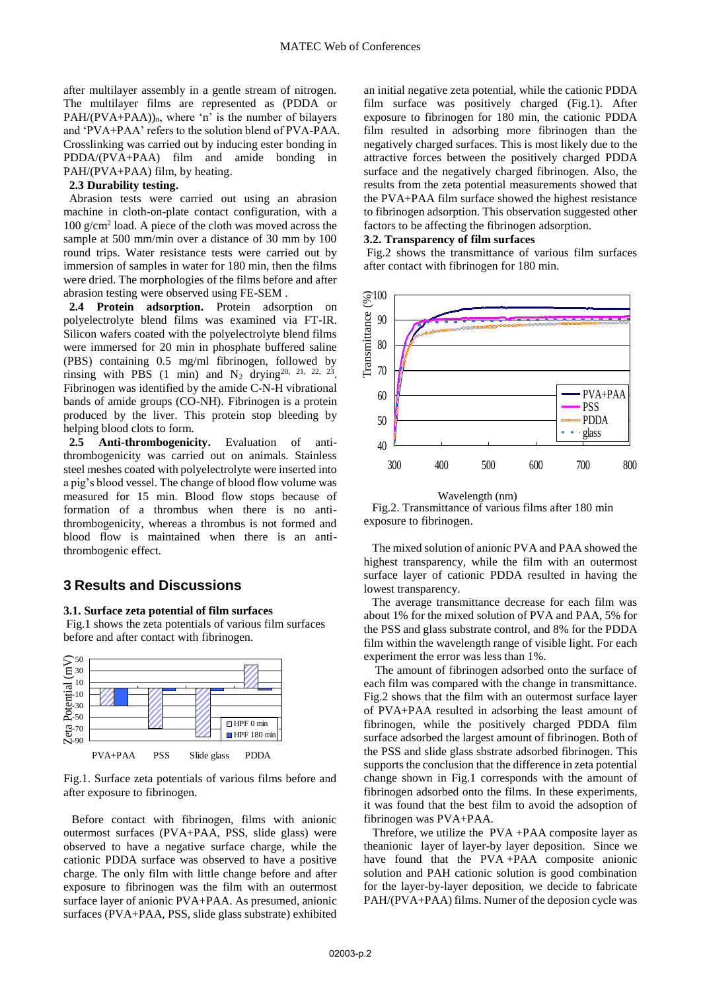after multilayer assembly in a gentle stream of nitrogen. The multilayer films are represented as (PDDA or  $PAH/(PVA+PAA)$ <sub>n</sub>, where 'n' is the number of bilayers and 'PVA+PAA' refers to the solution blend of PVA-PAA. Crosslinking was carried out by inducing ester bonding in PDDA/(PVA+PAA) film and amide bonding in PAH/(PVA+PAA) film, by heating.

#### **2.3 Durability testing.**

Abrasion tests were carried out using an abrasion machine in cloth-on-plate contact configuration, with a 100 g/cm<sup>2</sup> load. A piece of the cloth was moved across the sample at 500 mm/min over a distance of 30 mm by 100 round trips. Water resistance tests were carried out by immersion of samples in water for 180 min, then the films were dried. The morphologies of the films before and after abrasion testing were observed using FE-SEM .

**2.4 Protein adsorption.** Protein adsorption on polyelectrolyte blend films was examined via FT-IR. Silicon wafers coated with the polyelectrolyte blend films were immersed for 20 min in phosphate buffered saline (PBS) containing 0.5 mg/ml fibrinogen, followed by rinsing with PBS  $(1 \text{ min})$  and  $N_2$  drying<sup>20, 21, 22, 23</sup>. Fibrinogen was identified by the amide C-N-H vibrational bands of amide groups (CO-NH). Fibrinogen is a protein produced by the liver. This protein stop bleeding by helping blood clots to form.

**2.5 Anti-thrombogenicity.** Evaluation of antithrombogenicity was carried out on animals. Stainless steel meshes coated with polyelectrolyte were inserted into a pig's blood vessel. The change of blood flow volume was measured for 15 min. Blood flow stops because of formation of a thrombus when there is no antithrombogenicity, whereas a thrombus is not formed and blood flow is maintained when there is an antithrombogenic effect.

## **3 Results and Discussions**

#### **3.1. Surface zeta potential of film surfaces**

 Fig.1 shows the zeta potentials of various film surfaces before and after contact with fibrinogen.



Fig.1. Surface zeta potentials of various films before and after exposure to fibrinogen.

Before contact with fibrinogen, films with anionic outermost surfaces (PVA+PAA, PSS, slide glass) were observed to have a negative surface charge, while the cationic PDDA surface was observed to have a positive charge. The only film with little change before and after exposure to fibrinogen was the film with an outermost surface layer of anionic PVA+PAA. As presumed, anionic surfaces (PVA+PAA, PSS, slide glass substrate) exhibited

an initial negative zeta potential, while the cationic PDDA film surface was positively charged (Fig.1). After exposure to fibrinogen for 180 min, the cationic PDDA film resulted in adsorbing more fibrinogen than the negatively charged surfaces. This is most likely due to the attractive forces between the positively charged PDDA surface and the negatively charged fibrinogen. Also, the results from the zeta potential measurements showed that the PVA+PAA film surface showed the highest resistance to fibrinogen adsorption. This observation suggested other factors to be affecting the fibrinogen adsorption.

### **3.2. Transparency of film surfaces**

 Fig.2 shows the transmittance of various film surfaces after contact with fibrinogen for 180 min.



#### Wavelength (nm)

Fig.2. Transmittance of various films after 180 min exposure to fibrinogen.

The mixed solution of anionic PVA and PAA showed the highest transparency, while the film with an outermost surface layer of cationic PDDA resulted in having the lowest transparency.

The average transmittance decrease for each film was about 1% for the mixed solution of PVA and PAA, 5% for the PSS and glass substrate control, and 8% for the PDDA film within the wavelength range of visible light. For each experiment the error was less than 1%.

 The amount of fibrinogen adsorbed onto the surface of each film was compared with the change in transmittance. Fig.2 shows that the film with an outermost surface layer of PVA+PAA resulted in adsorbing the least amount of fibrinogen, while the positively charged PDDA film surface adsorbed the largest amount of fibrinogen. Both of the PSS and slide glass sbstrate adsorbed fibrinogen. This supports the conclusion that the difference in zeta potential change shown in Fig.1 corresponds with the amount of fibrinogen adsorbed onto the films. In these experiments, it was found that the best film to avoid the adsoption of fibrinogen was PVA+PAA.

 Threfore, we utilize the PVA +PAA composite layer as theanionic layer of layer-by layer deposition. Since we have found that the PVA +PAA composite anionic solution and PAH cationic solution is good combination for the layer-by-layer deposition, we decide to fabricate PAH/(PVA+PAA) films. Numer of the deposion cycle was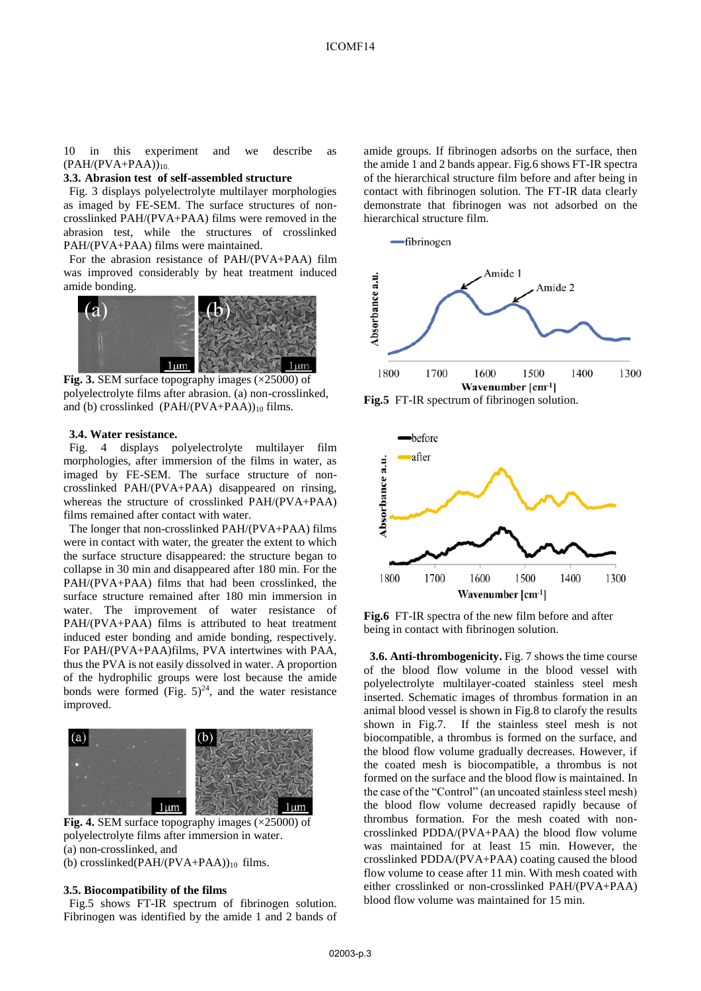10 in this experiment and we describe as  $(PAH/(PVA+PAA))_{10}$ 

#### **3.3. Abrasion test of self-assembled structure**

Fig. 3 displays polyelectrolyte multilayer morphologies as imaged by FE-SEM. The surface structures of noncrosslinked PAH/(PVA+PAA) films were removed in the abrasion test, while the structures of crosslinked PAH/(PVA+PAA) films were maintained.

For the abrasion resistance of PAH/(PVA+PAA) film was improved considerably by heat treatment induced amide bonding.



**Fig. 3.** SEM surface topography images  $(\times 25000)$  of polyelectrolyte films after abrasion. (a) non-crosslinked, and (b) crosslinked  $(PAH/(PVA+PAA))_{10}$  films.

### **3.4. Water resistance.**

Fig. 4 displays polyelectrolyte multilayer film morphologies, after immersion of the films in water, as imaged by FE-SEM. The surface structure of noncrosslinked PAH/(PVA+PAA) disappeared on rinsing, whereas the structure of crosslinked PAH/(PVA+PAA) films remained after contact with water.

The longer that non-crosslinked PAH/(PVA+PAA) films were in contact with water, the greater the extent to which the surface structure disappeared: the structure began to collapse in 30 min and disappeared after 180 min. For the PAH/(PVA+PAA) films that had been crosslinked, the surface structure remained after 180 min immersion in water. The improvement of water resistance of PAH/(PVA+PAA) films is attributed to heat treatment induced ester bonding and amide bonding, respectively. For PAH/(PVA+PAA)films, PVA intertwines with PAA, thus the PVA is not easily dissolved in water. A proportion of the hydrophilic groups were lost because the amide bonds were formed (Fig.  $5)^{24}$ , and the water resistance improved.



**Fig. 4.** SEM surface topography images ( $\times$ 25000) of polyelectrolyte films after immersion in water. (a) non-crosslinked, and

(b) crosslinked(PAH/(PVA+PAA)) $_{10}$  films.

#### **3.5. Biocompatibility of the films**

Fig.5 shows FT-IR spectrum of fibrinogen solution. Fibrinogen was identified by the amide 1 and 2 bands of

amide groups. If fibrinogen adsorbs on the surface, then the amide 1 and 2 bands appear. Fig.6 shows FT-IR spectra of the hierarchical structure film before and after being in contact with fibrinogen solution. The FT-IR data clearly demonstrate that fibrinogen was not adsorbed on the hierarchical structure film.



**Fig.5** FT-IR spectrum of fibrinogen solution.



**Fig.6** FT-IR spectra of the new film before and after being in contact with fibrinogen solution.

**3.6. Anti-thrombogenicity.** Fig. 7 shows the time course of the blood flow volume in the blood vessel with polyelectrolyte multilayer-coated stainless steel mesh inserted. Schematic images of thrombus formation in an animal blood vessel is shown in Fig.8 to clarofy the results shown in Fig.7. If the stainless steel mesh is not biocompatible, a thrombus is formed on the surface, and the blood flow volume gradually decreases. However, if the coated mesh is biocompatible, a thrombus is not formed on the surface and the blood flow is maintained. In the case of the "Control" (an uncoated stainless steel mesh) the blood flow volume decreased rapidly because of thrombus formation. For the mesh coated with noncrosslinked PDDA/(PVA+PAA) the blood flow volume was maintained for at least 15 min. However, the crosslinked PDDA/(PVA+PAA) coating caused the blood flow volume to cease after 11 min. With mesh coated with either crosslinked or non-crosslinked PAH/(PVA+PAA) blood flow volume was maintained for 15 min.